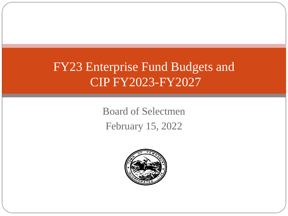# FY23 Enterprise Fund Budgets and CIP FY2023-FY2027

Board of Selectmen February 15, 2022

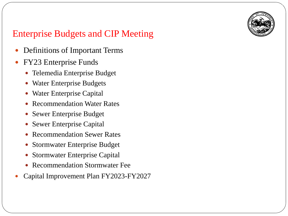

- Definitions of Important Terms
- FY23 Enterprise Funds
	- Telemedia Enterprise Budget
	- Water Enterprise Budgets
	- Water Enterprise Capital
	- Recommendation Water Rates
	- Sewer Enterprise Budget
	- Sewer Enterprise Capital
	- Recommendation Sewer Rates
	- Stormwater Enterprise Budget
	- Stormwater Enterprise Capital
	- Recommendation Stormwater Fee
- Capital Improvement Plan FY2023-FY2027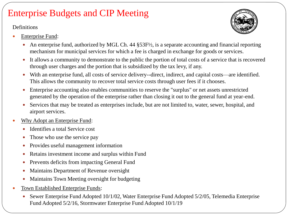**Definitions** 

- Enterprise Fund:
	- An enterprise fund, authorized by MGL Ch. 44 §53F½, is a separate accounting and financial reporting mechanism for municipal services for which a fee is charged in exchange for goods or services.
	- It allows a community to demonstrate to the public the portion of total costs of a service that is recovered through user charges and the portion that is subsidized by the tax levy, if any.
	- With an enterprise fund, all costs of service delivery--direct, indirect, and capital costs—are identified. This allows the community to recover total service costs through user fees if it chooses.
	- Enterprise accounting also enables communities to reserve the "surplus" or net assets unrestricted generated by the operation of the enterprise rather than closing it out to the general fund at year-end.
	- Services that may be treated as enterprises include, but are not limited to, water, sewer, hospital, and airport services.
- Why Adopt an Enterprise Fund:
	- Identifies a total Service cost
	- Those who use the service pay
	- Provides useful management information
	- Retains investment income and surplus within Fund
	- Prevents deficits from impacting General Fund
	- Maintains Department of Revenue oversight
	- Maintains Town Meeting oversight for budgeting
- Town Established Enterprise Funds:
	- Sewer Enterprise Fund Adopted 10/1/02, Water Enterprise Fund Adopted 5/2/05, Telemedia Enterprise Fund Adopted 5/2/16, Stormwater Enterprise Fund Adopted 10/1/19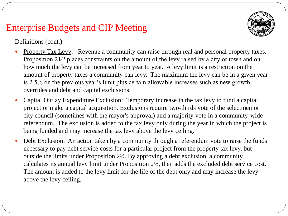

Definitions (cont.):

- Property Tax Levy: Revenue a community can raise through real and personal property taxes. Proposition 21/2 places constraints on the amount of the levy raised by a city or town and on how much the levy can be increased from year to year. A levy limit is a restriction on the amount of property taxes a community can levy. The maximum the levy can be in a given year is 2.5% on the previous year's limit plus certain allowable increases such as new growth, overrides and debt and capital exclusions.
- Capital Outlay Expenditure Exclusion: Temporary increase in the tax levy to fund a capital project or make a capital acquisition. Exclusions require two-thirds vote of the selectmen or city council (sometimes with the mayor's approval) and a majority vote in a community-wide referendum. The exclusion is added to the tax levy only during the year in which the project is being funded and may increase the tax levy above the levy ceiling.
- Debt Exclusion: An action taken by a community through a referendum vote to raise the funds necessary to pay debt service costs for a particular project from the property tax levy, but outside the limits under Proposition 2½. By approving a debt exclusion, a community calculates its annual levy limit under Proposition 2½, then adds the excluded debt service cost. The amount is added to the levy limit for the life of the debt only and may increase the levy above the levy ceiling.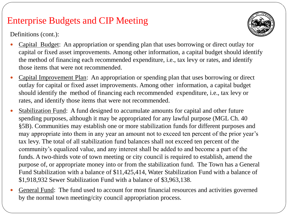Definitions (cont.):



- Capital Budget: An appropriation or spending plan that uses borrowing or direct outlay for capital or fixed asset improvements. Among other information, a capital budget should identify the method of financing each recommended expenditure, i.e., tax levy or rates, and identify those items that were not recommended.
- Capital Improvement Plan: An appropriation or spending plan that uses borrowing or direct outlay for capital or fixed asset improvements. Among other information, a capital budget should identify the method of financing each recommended expenditure, i.e., tax levy or rates, and identify those items that were not recommended.
- Stabilization Fund: A fund designed to accumulate amounts for capital and other future spending purposes, although it may be appropriated for any lawful purpose (MGL Ch. 40 §5B). Communities may establish one or more stabilization funds for different purposes and may appropriate into them in any year an amount not to exceed ten percent of the prior year's tax levy. The total of all stabilization fund balances shall not exceed ten percent of the community's equalized value, and any interest shall be added to and become a part of the funds. A two-thirds vote of town meeting or city council is required to establish, amend the purpose of, or appropriate money into or from the stabilization fund. The Town has a General Fund Stabilization with a balance of \$11,425,414, Water Stabilization Fund with a balance of \$1,918,932 Sewer Stabilization Fund with a balance of \$3,963,138.
- General Fund: The fund used to account for most financial resources and activities governed by the normal town meeting/city council appropriation process.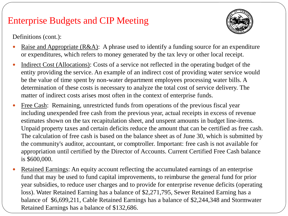

Definitions (cont.):

- Raise and Appropriate (R&A): A phrase used to identify a funding source for an expenditure or expenditures, which refers to money generated by the tax levy or other local receipt.
- Indirect Cost (Allocations): Costs of a service not reflected in the operating budget of the entity providing the service. An example of an indirect cost of providing water service would be the value of time spent by non-water department employees processing water bills. A determination of these costs is necessary to analyze the total cost of service delivery. The matter of indirect costs arises most often in the context of enterprise funds.
- Free Cash: Remaining, unrestricted funds from operations of the previous fiscal year including unexpended free cash from the previous year, actual receipts in excess of revenue estimates shown on the tax recapitulation sheet, and unspent amounts in budget line-items. Unpaid property taxes and certain deficits reduce the amount that can be certified as free cash. The calculation of free cash is based on the balance sheet as of June 30, which is submitted by the community's auditor, accountant, or comptroller. Important: free cash is not available for appropriation until certified by the Director of Accounts. Current Certified Free Cash balance is \$600,000.
- Retained Earnings: An equity account reflecting the accumulated earnings of an enterprise fund that may be used to fund capital improvements, to reimburse the general fund for prior year subsidies, to reduce user charges and to provide for enterprise revenue deficits (operating loss). Water Retained Earning has a balance of \$2,271,795, Sewer Retained Earning has a balance of \$6,699,211, Cable Retained Earnings has a balance of \$2,244,348 and Stormwater Retained Earnings has a balance of \$132,686.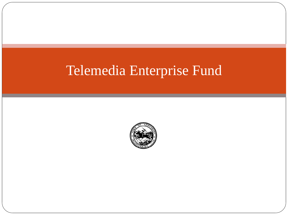# Telemedia Enterprise Fund

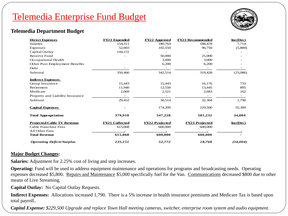### Telemedia Enterprise Fund Budget



### **Telemedia Department Budget**

| <b>Direct Expenses</b>            | <b>FY21 Expended</b>  | <b>FY22 Approved</b>  | <b>FY23 Recommended</b> | Inc(Dec)   |
|-----------------------------------|-----------------------|-----------------------|-------------------------|------------|
| <b>Salaries</b>                   | 154.311               | 180,764               | 188,478                 | 7,714      |
| Expenses                          | 52,003                | 102,550               | 96,750                  | (5,800)    |
| Capital Outlay                    | 144.151               |                       |                         |            |
| Reserve Fund                      |                       | 50,000                | 25,000                  |            |
| Occupational Health               |                       | 3,000                 | 3,000                   |            |
| Other Post Employment Benefits    |                       | 6,200                 | 6,200                   |            |
| Debt                              |                       |                       |                         |            |
| Subtotal                          | 350,466               | 342,514               | 319,428                 | (23,086)   |
| <b>Indirect Expenses</b>          |                       |                       |                         |            |
| Group Insurance                   | 15,443                | 15,443                | 16,176                  | 733        |
| Retirement                        | 11,940                | 12,550                | 13,445                  | 895        |
| Medicare                          | 2,069                 | 2,521                 | 2,683                   | 162        |
| Property and Liability Insurance  |                       |                       |                         |            |
| Subtotal                          | 29,452                | 30,514                | 32,304                  | 1,790      |
| <b>Capital Expenses</b>           |                       | 174,200               | 229,500                 | 55,300     |
| <b>Total Appropriation</b>        | 379,918               | 547,228               | 581,232                 | 34,004     |
| <b>Projected Cable TV Revenue</b> | <b>FY21 Collected</b> | <b>FY22 Projected</b> | <b>FY23 Projected</b>   | $Inc(Dec)$ |
| Cable Franchise Fees              | 615,068               | 600,000               | 600,000                 |            |
| All Other Fees                    |                       |                       |                         |            |
| <b>Total Revenue</b>              | 615,068               | 600,000               | 600,000                 |            |
| <b>Operating Deficit/Surplus</b>  | 235,151               | 52,772                | 18,768                  | (34,004)   |

### **Major Budget Changes:**

**Salaries:** Adjustment for 2.25% cost of living and step increases.

**Operating:** Fund will be used to address equipment maintenance and operations for programs and broadcasting needs. Operating expenses decreased \$5,800. Repairs and Maintenance \$5,000 specifically fuel for the Van. Communications decreased \$800 due to other means of Live Streaming.

**Capital Outlay:** No Capital Outlay Requests.

**Indirect Expenses:** Allocations increased 1,790. There is a 5% increase in health insurance premiums and Medicare Tax is based upon total payroll..

*Capital Expense: \$229,500 Upgrade and replace Town Hall meeting cameras, switcher, enterprise room system and audio equipment.*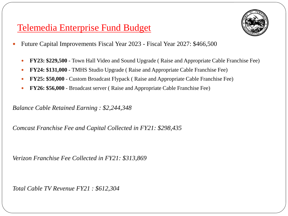### Telemedia Enterprise Fund Budget



- Future Capital Improvements Fiscal Year 2023 Fiscal Year 2027: \$466,500
	- **FY23: \$229,500**  Town Hall Video and Sound Upgrade ( Raise and Appropriate Cable Franchise Fee)
	- **FY24: \$131,000**  TMHS Studio Upgrade ( Raise and Appropriate Cable Franchise Fee)
	- **FY25: \$50,000**  Custom Broadcast Flypack ( Raise and Appropriate Cable Franchise Fee)
	- **FY26: \$56,000**  Broadcast server ( Raise and Appropriate Cable Franchise Fee)

*Balance Cable Retained Earning : \$2,244,348*

*Comcast Franchise Fee and Capital Collected in FY21: \$298,435*

*Verizon Franchise Fee Collected in FY21: \$313,869*

*Total Cable TV Revenue FY21 : \$612,304*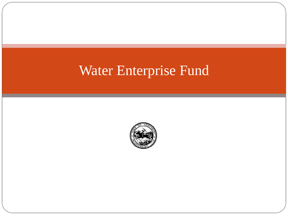# Water Enterprise Fund

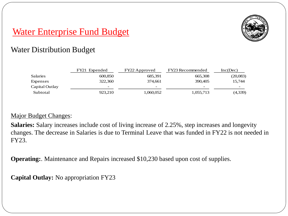

### Water Distribution Budget

|                 | FY21 Expended | FY22 Approved   | FY23 Recommended         | Inc(Dec)          |
|-----------------|---------------|-----------------|--------------------------|-------------------|
| <b>Salaries</b> | 600,850       | 685,391         | 665,308                  | (20,083)          |
| Expenses        | 322,360       | 374.661         | 390,405                  | 15,744            |
| Capital Outlay  | -             | $\qquad \qquad$ | $\overline{\phantom{0}}$ | $\qquad \qquad -$ |
| Subtotal        | 923,210       | 1,060,052       | 1,055,713                | (4,339)           |

### Major Budget Changes:

**Salaries:** Salary increases include cost of living increase of 2.25%, step increases and longevity changes. The decrease in Salaries is due to Terminal Leave that was funded in FY22 is not needed in FY23.

**Operating:**. Maintenance and Repairs increased \$10,230 based upon cost of supplies.

**Capital Outlay:** No appropriation FY23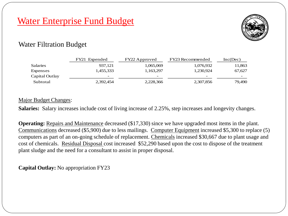

### Water Filtration Budget

|                 | FY21 Expended | FY22 Approved | FY23 Recommended         | Inc(Dec) |
|-----------------|---------------|---------------|--------------------------|----------|
| <b>Salaries</b> | 937.121       | 1,065,069     | 1,076,932                | 11,863   |
| Expenses        | 1,455,333     | 1,163,297     | 1,230,924                | 67,627   |
| Capital Outlay  | -             | $\sim$        | $\overline{\phantom{0}}$ | -        |
| Subtotal        | 2,392,454     | 2,228,366     | 2,307,856                | 79,490   |

### Major Budget Changes:

**Salaries:** Salary increases include cost of living increase of 2.25%, step increases and longevity changes.

**Operating:** Repairs and Maintenance decreased (\$17,330) since we have upgraded most items in the plant. Communications decreased (\$5,900) due to less mailings. Computer Equipment increased \$5,300 to replace (5) computers as part of an on-going schedule of replacement. Chemicals increased \$30,667 due to plant usage and cost of chemicals. Residual Disposal cost increased \$52,290 based upon the cost to dispose of the treatment plant sludge and the need for a consultant to assist in proper disposal.

**Capital Outlay:** No appropriation FY23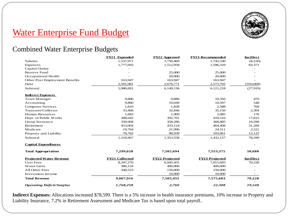

### Combined Water Enterprise Budgets

|                                  | FY21 Expended         | <b>FY22 Approved</b>  | <b>FY23 Recommended</b> | Inc(Dec)   |
|----------------------------------|-----------------------|-----------------------|-------------------------|------------|
| <b>Salaries</b>                  | 1,537,971             | 1,750,460             | 1,742,240               | (8,220)    |
| Expenses                         | 1,777,693             | 1,512,958             | 1,596,329               | 83,371     |
| Capital Outlay                   |                       |                       |                         |            |
| <b>Reserve Fund</b>              |                       | 25,000                | 25,000                  |            |
| Occupational Health              |                       | 20,000                | 20,000                  |            |
| Other Post Employment Benefits   | 163,947               | 163,947               | 163,947                 |            |
| Debt                             | 2,501,081             | 2,676,771             | 2,573,702               | (103,069)  |
| Subtotal                         | 5,980,691             | 6,149,136             | 6,121,218               | (27,919)   |
| <b>Indirect Expenses</b>         |                       |                       |                         |            |
| <b>Town Manager</b>              | 9,886                 | 9,886                 | 10,356                  | 470        |
| Accounting                       | 9,880                 | 10,049                | 10,597                  | 548        |
| <b>Computer Services</b>         | 1,810                 | 1,828                 | 2,588                   | 760        |
| Treasurer/Collector              | 33,468                | 32,846                | 35,150                  | 2,304      |
| <b>Human Resources</b>           | 1,683                 | 1,909                 | 2,085                   | 176        |
| Dept. of Public Works            | 388,042               | 392,701               | 410,516                 | 17,815     |
| Group Insurance                  | 330,668               | 358,286               | 368,885                 | 10,599     |
| Retirement                       | 453,004               | 433,124               | 464,408                 | 31,284     |
| Medicare                         | 19,764                | 21,990                | 24,511                  | 2,521      |
| Property and Liability           | 70,762                | 90,939                | 103,061                 | 12,122     |
| Subtotal                         | 1,318,967             | 1,353,558             | 1,432,157               | 78,599     |
| <b>Capital Expenditures</b>      |                       |                       |                         |            |
| <b>Total Appropriation</b>       | 7,299,658             | 7,502,694             | 7,553,375               | 50,680     |
| <b>Projected Water Revenue</b>   | <b>FY21 Collected</b> | <b>FY22 Projected</b> | <b>FY23 Projected</b>   | $Inc(Dec)$ |
| <b>User Fees</b>                 | 8,347,270             | 6,945,455             | 7,015,683               | 70,228     |
| Water Liens                      | 380,124               | 400,000               | 400,000                 |            |
| All Other Fees                   | 340,523               | 150,000               | 150,000                 |            |
| Investment Income                |                       | 10,000                | 10,000                  |            |
| <b>Total Revenue</b>             | 9,067,916             | 7,505,455             | 7,575,683               | 70,228     |
| <b>Operating Deficit/Surplus</b> | 1,768,258             | 2,760                 | 22,308                  | 19,548     |

**Indirect Expenses:** Allocations increased \$78,599. There is a 5% increase in health insurance premiums, 10% increase in Property and Liability Insurance, 7.2% in Retirement Assessment and Medicare Tax is based upon total payroll..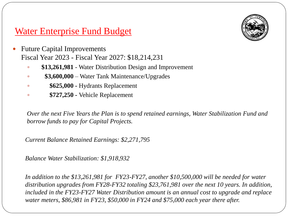

- Future Capital Improvements Fiscal Year 2023 - Fiscal Year 2027: \$18,214,231
	- **\$13,261,981** Water Distribution Design and Improvement
	- **\$3,600,000** Water Tank Maintenance/Upgrades
	- **\$625,000 -** Hydrants Replacement
	- **\$727,250 -** Vehicle Replacement

*Over the next Five Years the Plan is to spend retained earnings, Water Stabilization Fund and borrow funds to pay for Capital Projects.* 

*Current Balance Retained Earnings: \$2,271,795* 

*Balance Water Stabilization: \$1,918,932*

*In addition to the \$13,261,981 for FY23-FY27, another \$10,500,000 will be needed for water distribution upgrades from FY28-FY32 totaling \$23,761,981 over the next 10 years. In addition, included in the FY23-FY27 Water Distribution amount is an annual cost to upgrade and replace water meters, \$86,981 in FY23, \$50,000 in FY24 and \$75,000 each year there after.*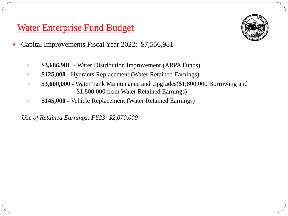- Capital Improvements Fiscal Year 2022: \$7,556,981
	- **\$3,686,981** Water Distribution Improvement (ARPA Funds)
	- **\$125,000 -** Hydrants Replacement (Water Retained Earnings)
	- **\$3,600,000 -** Water Tank Maintenance and Upgrades(\$1,800,000 Borrowing and \$1,800,000 from Water Retained Earnings)
	- **\$145,000 -** Vehicle Replacement (Water Retained Earnings)

*Use of Retained Earnings: FY23: \$2,070,000*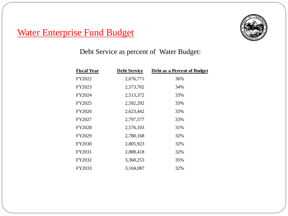

Debt Service as percent of Water Budget:

| <b>Fiscal Year</b> | <b>Debt Service</b> | Debt as a Percent of Budget |
|--------------------|---------------------|-----------------------------|
| FY2022             | 2,676,771           | 36%                         |
| FY2023             | 2,573,702           | 34%                         |
| FY2024             | 2,513,372           | 33%                         |
| FY2025             | 2,592,292           | 33%                         |
| FY2026             | 2,623,442           | 33%                         |
| FY2027             | 2,797,577           | 33%                         |
| FY2028             | 2,576,103           | 31%                         |
| FY2029             | 2,780,168           | 32%                         |
| FY2030             | 2,805,923           | 32%                         |
| FY2031             | 2,888,418           | 32%                         |
| FY2032             | 3,368,253           | 35%                         |
| FY2033             | 3,104,087           | 32%                         |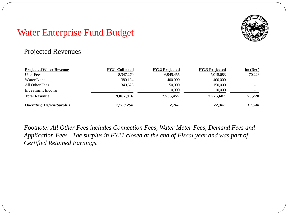

### Projected Revenues

| <b>Projected Water Revenue</b>   | <b>FY21 Collected</b> | <b>FY22 Projected</b> | <b>FY23 Projected</b> | $Inc(Dec)$ |
|----------------------------------|-----------------------|-----------------------|-----------------------|------------|
| User Fees                        | 8,347,270             | 6,945,455             | 7,015,683             | 70,228     |
| Water Liens                      | 380,124               | 400,000               | 400,000               |            |
| All Other Fees                   | 340,523               | 150,000               | 150,000               |            |
| Investment Income                | -                     | 10,000                | 10,000                |            |
| <b>Total Revenue</b>             | 9,067,916             | 7.505.455             | 7,575,683             | 70,228     |
| <b>Operating Deficit/Surplus</b> | 1,768,258             | 2,760                 | 22,308                | 19,548     |

*Footnote: All Other Fees includes Connection Fees, Water Meter Fees, Demand Fees and Application Fees. The surplus in FY21 closed at the end of Fiscal year and was part of Certified Retained Earnings.*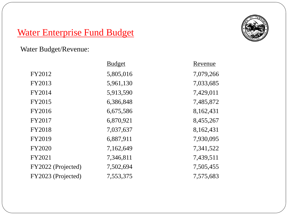Water Budget/Revenue:

|                    | <b>Budget</b> | Revenue   |
|--------------------|---------------|-----------|
| FY2012             | 5,805,016     | 7,079,266 |
| FY2013             | 5,961,130     | 7,033,685 |
| FY2014             | 5,913,590     | 7,429,011 |
| FY2015             | 6,386,848     | 7,485,872 |
| FY2016             | 6,675,586     | 8,162,431 |
| FY2017             | 6,870,921     | 8,455,267 |
| <b>FY2018</b>      | 7,037,637     | 8,162,431 |
| FY2019             | 6,887,911     | 7,930,095 |
| <b>FY2020</b>      | 7,162,649     | 7,341,522 |
| FY2021             | 7,346,811     | 7,439,511 |
| FY2022 (Projected) | 7,502,694     | 7,505,455 |
| FY2023 (Projected) | 7,553,375     | 7,575,683 |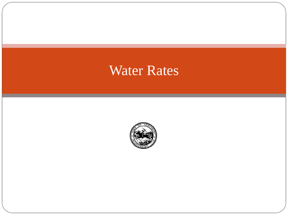# Water Rates

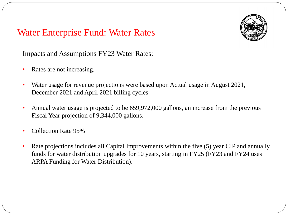### Water Enterprise Fund: Water Rates



Impacts and Assumptions FY23 Water Rates:

- Rates are not increasing.
- Water usage for revenue projections were based upon Actual usage in August 2021, December 2021 and April 2021 billing cycles.
- Annual water usage is projected to be 659,972,000 gallons, an increase from the previous Fiscal Year projection of 9,344,000 gallons.
- Collection Rate 95%
- Rate projections includes all Capital Improvements within the five (5) year CIP and annually funds for water distribution upgrades for 10 years, starting in FY25 (FY23 and FY24 uses ARPA Funding for Water Distribution).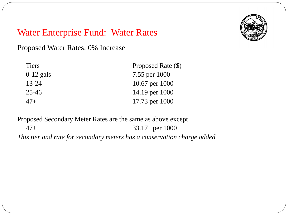## Water Enterprise Fund: Water Rates

Proposed Water Rates: 0% Increase

| <b>Tiers</b> | Proposed Rate (\$) |
|--------------|--------------------|
| $0-12$ gals  | 7.55 per 1000      |
| $13 - 24$    | 10.67 per 1000     |
| $25 - 46$    | 14.19 per 1000     |
| $47+$        | 17.73 per 1000     |

Proposed Secondary Meter Rates are the same as above except 47+ 33.17 per 1000 *This tier and rate for secondary meters has a conservation charge added*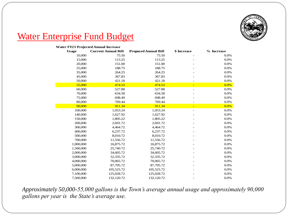

#### **Water FY23 Projected Annual Increase**

| <b>Usage</b> | <b>Current Annual Bill</b> | <b>Proposed Annual Bill</b> | \$ Increase              | % Increase |
|--------------|----------------------------|-----------------------------|--------------------------|------------|
| 10,000       | 75.50                      | 75.50                       |                          | 0.0%       |
| 15,000       | 113.25                     | 113.25                      |                          | 0.0%       |
| 20,000       | 151.00                     | 151.00                      |                          | 0.0%       |
| 25,000       | 188.75                     | 188.75                      |                          | 0.0%       |
| 35,000       | 264.25                     | 264.25                      |                          | 0.0%       |
| 45,000       | 367.83                     | 367.83                      |                          | 0.0%       |
| 50,000       | 421.18                     | 421.18                      | $\overline{\phantom{0}}$ | 0.0%       |
| 55,000       | 474.53                     | 474.53                      | Ξ                        | 0.0%       |
| 60,000       | 527.88                     | 527.88                      | L,                       | 0.0%       |
| 70,000       | 634.58                     | 634.58                      |                          | 0.0%       |
| 75,000       | 698.49                     | 698.49                      |                          | 0.0%       |
| 80,000       | 769.44                     | 769.44                      | $\overline{\phantom{0}}$ | 0.0%       |
| 90,000       | 911.34                     | 911.34                      | Ξ                        | 0.0%       |
| 100,000      | 1,053.24                   | 1,053.24                    | L,                       | 0.0%       |
| 140,000      | 1,627.92                   | 1,627.92                    |                          | 0.0%       |
| 150,000      | 1,805.22                   | 1,805.22                    |                          | 0.0%       |
| 200,000      | 2,691.72                   | 2,691.72                    |                          | 0.0%       |
| 300,000      | 4,464.72                   | 4,464.72                    |                          | 0.0%       |
| 400,000      | 6,237.72                   | 6,237.72                    |                          | 0.0%       |
| 500,000      | 8,010.72                   | 8,010.72                    |                          | 0.0%       |
| 700,000      | 11,556.72                  | 11,556.72                   |                          | 0.0%       |
| 1,000,000    | 16,875.72                  | 16,875.72                   |                          | 0.0%       |
| 1,500,000    | 25,740.72                  | 25,740.72                   |                          | 0.0%       |
| 2,000,000    | 34,605.72                  | 34,605.72                   |                          | 0.0%       |
| 3,000,000    | 52,335.72                  | 52,335.72                   |                          | 0.0%       |
| 4,000,000    | 70,065.72                  | 70,065.72                   |                          | 0.0%       |
| 5,000,000    | 87,795.72                  | 87,795.72                   |                          | 0.0%       |
| 6,000,000    | 105,525.72                 | 105,525.72                  |                          | 0.0%       |
| 7,100,000    | 125,028.72                 | 125,028.72                  |                          | 0.0%       |
| 7,500,000    | 132,120.72                 | 132,120.72                  |                          | 0.0%       |

*Approximately 50,000-55,000 gallons is the Town's average annual usage and approximately 90,000 gallons per year is the State's average use.*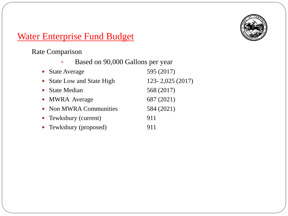

Rate Comparison

|  | Based on 90,000 Gallons per year |
|--|----------------------------------|
|--|----------------------------------|

| • State Average            | 595 (2017)          |
|----------------------------|---------------------|
| • State Low and State High | $123 - 2,025(2017)$ |
| • State Median             | 568 (2017)          |
| • MWRA Average             | 687 (2021)          |
| • Non MWRA Communities     | 584 (2021)          |
| • Tewksbury (current)      | 911                 |
| • Tewksbury (proposed)     | 911                 |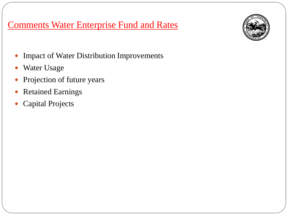### Comments Water Enterprise Fund and Rates



- Impact of Water Distribution Improvements
- Water Usage
- Projection of future years
- Retained Earnings
- Capital Projects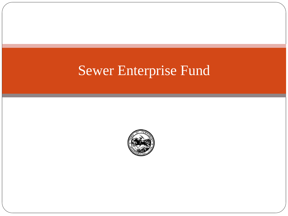# Sewer Enterprise Fund

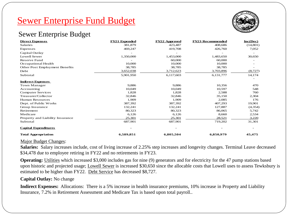

### Sewer Enterprise Budget

| <b>Direct Expenses</b>           | <b>FY21 Expended</b> | <b>FY22 Approved</b> | <b>FY23 Recommended</b> | $Inc(Dec)$ |
|----------------------------------|----------------------|----------------------|-------------------------|------------|
| Salaries                         | 381,879              | 423,487              | 408,686                 | (14, 801)  |
| Expenses                         | 469,247              | 419,708              | 426,760                 | 7,052      |
| Capital Outlay                   |                      |                      |                         |            |
| Lowell Sewer                     | 1,350,000            | 1,453,000            | 1,483,650               | 30,650     |
| Reserve Fund                     |                      | 60,000               | 60,000                  |            |
| Occupational Health              | 10,000               | 10,000               | 10,000                  |            |
| Other Post Employment Benefits   | 38,785               | 38,785               | 38,785                  |            |
| Debt                             | 3,652,038            | 3,712,623            | 3,703,896               | (8,727)    |
| Subtotal                         | 5,901,950            | 6,117,603            | 6,131,777               | 14,174     |
| <b>Indirect Expenses</b>         |                      |                      |                         |            |
| Town Manager                     | 9,886                | 9,886                | 10,356                  | 470        |
| Accounting                       | 10.049               | 10.049               | 10,597                  | 548        |
| Computer Services                | 1,828                | 1,828                | 2,588                   | 760        |
| Treasurer/Collector              | 32,846               | 32,846               | 35,150                  | 2,304      |
| <b>Human Resources</b>           | 1,909                | 1,909                | 2,085                   | 176        |
| Dept. of Public Works            | 387,392              | 387,392              | 407,293                 | 19,901     |
| Group Insurance                  | 132,241              | 132,241              | 127,887                 | (4, 354)   |
| Retirement                       | 80,323               | 80,323               | 86,065                  | 5,742      |
| Medicare                         | 6,126                | 6,126                | 8,660                   | 2,534      |
| Property and Liability Insurance | 25,301               | 25,301               | 28.521                  | 3,220      |
| Subtotal                         | 687,901              | 687,901              | 719,202                 | 31,301     |
| <b>Capital Expenditures</b>      |                      |                      |                         |            |
| <b>Total Appropriation</b>       | 6,589,851            | 6,805,504            | 6,850,979               | 45,475     |

#### Major Budget Changes:

**Salaries:** Salary increases include, cost of living increase of 2.25% step increases and longevity changes. Terminal Leave decreased \$34,478 due to employee retiring in FY22 and no retirements in FY23.

**Operating:** Utilities which increased \$3,000 includes gas for nine (9) generators and for electricity for the 47 pump stations based upon historic and projected usage; Lowell Sewer is increased \$30,650 since the allocable costs that Lowell uses to assess Tewksbury is estimated to be higher than FY22. Debt Service has decreased \$8,727.

#### **Capital Outlay:** No change

**Indirect Expenses:** Allocations: There is a 5% increase in health insurance premiums, 10% increase in Property and Liability Insurance, 7.2% in Retirement Assessment and Medicare Tax is based upon total payroll..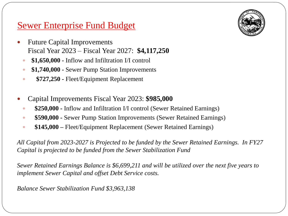- Future Capital Improvements Fiscal Year 2023 – Fiscal Year 2027: **\$4,117,250** 
	- **\$1,650,000 -** Inflow and Infiltration I/I control
	- **\$1,740,000 -** Sewer Pump Station Improvements
	- **\$727,250 -** Fleet/Equipment Replacement
- Capital Improvements Fiscal Year 2023: **\$985,000**
	- **\$250,000 -** Inflow and Infiltration I/I control (Sewer Retained Earnings)
	- **\$590,000 -** Sewer Pump Station Improvements (Sewer Retained Earnings)
	- **\$145,000 –** Fleet/Equipment Replacement (Sewer Retained Earnings)

*All Capital from 2023-2027 is Projected to be funded by the Sewer Retained Earnings. In FY27 Capital is projected to be funded from the Sewer Stabilization Fund* 

*Sewer Retained Earnings Balance is \$6,699,211 and will be utilized over the next five years to implement Sewer Capital and offset Debt Service costs.*

*Balance Sewer Stabilization Fund \$3,963,138*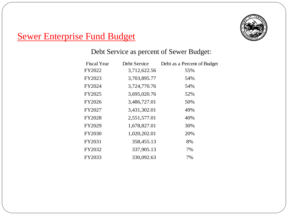

### Debt Service as percent of Sewer Budget:

| Debt Service | Debt as a Percent of Budget |
|--------------|-----------------------------|
| 3,712,622.56 | 55%                         |
| 3,703,895.77 | 54%                         |
| 3,724,770.76 | 54%                         |
| 3,695,020.76 | 52%                         |
| 3,486,727.01 | 50%                         |
| 3,431,302.01 | 49%                         |
| 2,551,577.01 | 40%                         |
| 1,678,827.01 | 30%                         |
| 1,020,202.01 | 20%                         |
| 358,455.13   | 8%                          |
| 337,905.13   | 7%                          |
| 330,092.63   | 7%                          |
|              |                             |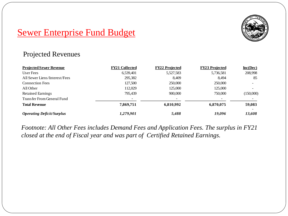

### Projected Revenues

| <b>Projected Sewer Revenue</b>   | <b>FY21 Collected</b> | <b>FY22 Projected</b> | <b>FY23 Projected</b> | $Inc(Dec)$ |
|----------------------------------|-----------------------|-----------------------|-----------------------|------------|
| User Fees                        | 6,539,401             | 5,527,583             | 5,736,581             | 208,998    |
| All Sewer Liens/Interest/Fees    | 295,382               | 8.409                 | 8.494                 | 85         |
| <b>Connection Fees</b>           | 127.500               | 250,000               | 250,000               | -          |
| All Other                        | 112,029               | 125,000               | 125,000               |            |
| <b>Retained Earnings</b>         | 795,439               | 900,000               | 750,000               | (150,000)  |
| Transfer From General Fund       |                       |                       |                       |            |
| <b>Total Revenue</b>             | 7,869,751             | 6,810,992             | 6,870,075             | 59,083     |
| <b>Operating Deficit/Surplus</b> | 1,279,901             | 5,488                 | 19,096                | 13,608     |

*Footnote: All Other Fees includes Demand Fees and Application Fees. The surplus in FY21 closed at the end of Fiscal year and was part of Certified Retained Earnings.*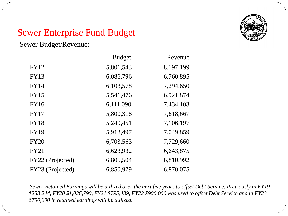

Sewer Budget/Revenue:

|                  | <b>Budget</b> | Revenue   |
|------------------|---------------|-----------|
| <b>FY12</b>      | 5,801,543     | 8,197,199 |
| <b>FY13</b>      | 6,086,796     | 6,760,895 |
| <b>FY14</b>      | 6,103,578     | 7,294,650 |
| <b>FY15</b>      | 5,541,476     | 6,921,874 |
| <b>FY16</b>      | 6,111,090     | 7,434,103 |
| <b>FY17</b>      | 5,800,318     | 7,618,667 |
| <b>FY18</b>      | 5,240,451     | 7,106,197 |
| <b>FY19</b>      | 5,913,497     | 7,049,859 |
| <b>FY20</b>      | 6,703,563     | 7,729,660 |
| <b>FY21</b>      | 6,623,932     | 6,643,875 |
| FY22 (Projected) | 6,805,504     | 6,810,992 |
| FY23 (Projected) | 6,850,979     | 6,870,075 |

*Sewer Retained Earnings will be utilized over the next five years to offset Debt Service. Previously in FY19 \$253,244, FY20 \$1,026,790, FY21 \$795,439, FY22 \$900,000 was used to offset Debt Service and in FY23 \$750,000 in retained earnings will be utilized.*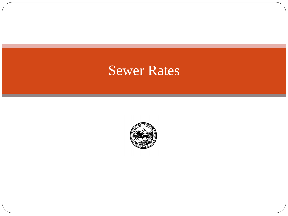# Sewer Rates

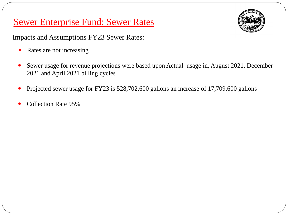### Sewer Enterprise Fund: Sewer Rates



Impacts and Assumptions FY23 Sewer Rates:

- Rates are not increasing
- Sewer usage for revenue projections were based upon Actual usage in, August 2021, December 2021 and April 2021 billing cycles
- Projected sewer usage for FY23 is 528,702,600 gallons an increase of 17,709,600 gallons
- Collection Rate 95%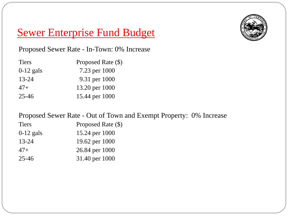

Proposed Sewer Rate - In-Town: 0% Increase

| <b>Tiers</b> | Proposed Rate (\$) |
|--------------|--------------------|
| $0-12$ gals  | 7.23 per 1000      |
| $13 - 24$    | 9.31 per 1000      |
| $47+$        | 13.20 per 1000     |
| $25 - 46$    | 15.44 per 1000     |

Proposed Sewer Rate - Out of Town and Exempt Property: 0% Increase

| <b>Tiers</b> | Proposed Rate (\$) |
|--------------|--------------------|
| $0-12$ gals  | 15.24 per 1000     |
| $13 - 24$    | 19.62 per 1000     |
| $47+$        | 26.84 per 1000     |
| $25 - 46$    | 31.40 per 1000     |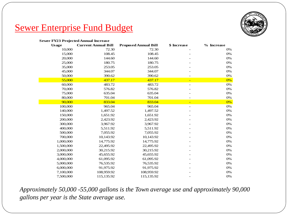

| <b>Sewer FY23 Projected Annual Increase</b> |                            |                             |                          |            |
|---------------------------------------------|----------------------------|-----------------------------|--------------------------|------------|
| <b>Usage</b>                                | <b>Current Annual Bill</b> | <b>Proposed Annual Bill</b> | \$ Increase              | % Increase |
| 10,000                                      | 72.30                      | 72.30                       |                          | 0%         |
| 15,000                                      | 108.45                     | 108.45                      |                          | 0%         |
| 20,000                                      | 144.60                     | 144.60                      |                          | 0%         |
| 25,000                                      | 180.75                     | 180.75                      |                          | 0%         |
| 35,000                                      | 253.05                     | 253.05                      |                          | 0%         |
| 45,000                                      | 344.07                     | 344.07                      |                          | 0%         |
| 50,000                                      | 390.62                     | 390.62                      |                          | 0%         |
| 55,000                                      | 437.17                     | 437.17                      | $\equiv$                 | 0%         |
| 60,000                                      | 483.72                     | 483.72                      |                          | 0%         |
| 70,000                                      | 576.82                     | 576.82                      |                          | 0%         |
| 75,000                                      | 635.04                     | 635.04                      |                          | 0%         |
| 80,000                                      | 701.04                     | 701.04                      |                          | 0%         |
| 90,000                                      | 833.04                     | 833.04                      |                          | 0%         |
| 100,000                                     | 965.04                     | 965.04                      | $\overline{\phantom{0}}$ | 0%         |
| 140,000                                     | 1,497.52                   | 1,497.52                    |                          | 0%         |
| 150,000                                     | 1,651.92                   | 1,651.92                    |                          | 0%         |
| 200,000                                     | 2,423.92                   | 2,423.92                    |                          | 0%         |
| 300,000                                     | 3,967.92                   | 3,967.92                    |                          | 0%         |
| 400,000                                     | 5,511.92                   | 5,511.92                    |                          | 0%         |
| 500,000                                     | 7,055.92                   | 7,055.92                    |                          | 0%         |
| 700,000                                     | 10,143.92                  | 10,143.92                   |                          | 0%         |
| 1,000,000                                   | 14,775.92                  | 14,775.92                   |                          | 0%         |
| 1,500,000                                   | 22,495.92                  | 22,495.92                   |                          | 0%         |
| 2,000,000                                   | 30,215.92                  | 30,215.92                   |                          | 0%         |
| 3,000,000                                   | 45,655.92                  | 45,655.92                   |                          | 0%         |
| 4,000,000                                   | 61,095.92                  | 61,095.92                   |                          | 0%         |
| 5,000,000                                   | 76,535.92                  | 76,535.92                   |                          | 0%         |
| 6,000,000                                   | 91,975.92                  | 91,975.92                   |                          | 0%         |
| 7,100,000                                   | 108,959.92                 | 108,959.92                  |                          | 0%         |
| 7,500,000                                   | 115,135.92                 | 115,135.92                  |                          | 0%         |

*Approximately 50,000 -55,000 gallons is the Town average use and approximately 90,000 gallons per year is the State average use.*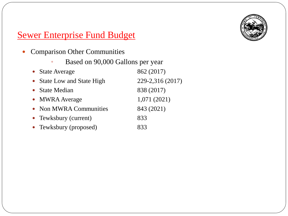

- Comparison Other Communities
	- Based on 90,000 Gallons per year

| • State Average            | 862 (2017)       |
|----------------------------|------------------|
| • State Low and State High | 229-2,316 (2017) |
| • State Median             | 838 (2017)       |
| • MWRA Average             | 1,071(2021)      |
| • Non MWRA Communities     | 843 (2021)       |
| • Tewksbury (current)      | 833              |
| • Tewksbury (proposed)     | 833              |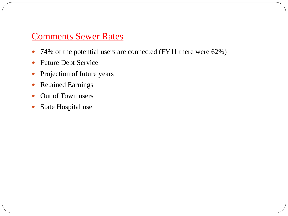### Comments Sewer Rates

- 74% of the potential users are connected (FY11 there were 62%)
- Future Debt Service
- Projection of future years
- Retained Earnings
- Out of Town users
- State Hospital use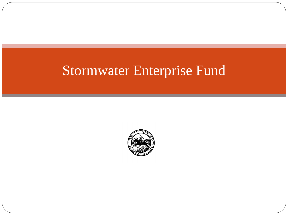# Stormwater Enterprise Fund

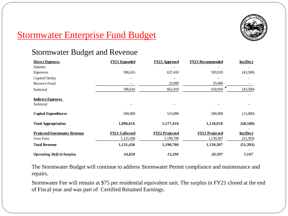

## Stormwater Enterprise Fund Budget

### Stormwater Budget and Revenue

| <b>Direct Expenses</b>                                                                                                                                               | <b>FY21 Expended</b>  | <b>FY22 Approved</b>  | <b>FY23 Recommended</b> | Inc(Dec)   |
|----------------------------------------------------------------------------------------------------------------------------------------------------------------------|-----------------------|-----------------------|-------------------------|------------|
| <b>Salaries</b>                                                                                                                                                      |                       |                       |                         |            |
| Expenses                                                                                                                                                             | 596,616               | 637,410               | 593,910                 | (43,500)   |
| Capital Outlay                                                                                                                                                       |                       |                       |                         |            |
| Reserve Fund                                                                                                                                                         |                       | 25,000                | 25,000                  |            |
| Subtotal                                                                                                                                                             | 596,616               | 662,410               | 618,910                 | (43,500)   |
| <b>Indirect Expenses</b>                                                                                                                                             |                       |                       |                         |            |
| Subtotal                                                                                                                                                             |                       |                       |                         |            |
| <b>Capital Expenditures</b>                                                                                                                                          | 500,000               | 515,000               | 500,000                 | (15,000)   |
| <b>Total Appropriation</b>                                                                                                                                           | 1,096,616             | 1,177,410             | 1,118,910               | (58, 500)  |
| <b>Projected Stormwater Revenue</b>                                                                                                                                  | <b>FY21 Collected</b> | <b>FY22 Projected</b> | <b>FY23 Projected</b>   | $Inc(Dec)$ |
| User Fees                                                                                                                                                            | 1,131,436             | 1,190,700             | 1,139,307               | (51,393)   |
| <b>Total Revenue</b>                                                                                                                                                 | 1,131,436             | 1,190,700             | 1,139,307               | (51,393)   |
| <b>Operating Deficit/Surplus</b>                                                                                                                                     | 34,820                | 13,290                | 20,397                  | 7,107      |
| The Stormwater Budget will continue to address Stormwater Permit compliance and maintenance are<br>repairs.                                                          |                       |                       |                         |            |
| Stormwater Fee will remain at \$75 per residential equivalent unit. The surplus in FY21 closed at the<br>of Fiscal year and was part of Certified Retained Earnings. |                       |                       |                         |            |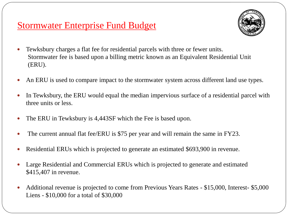### Stormwater Enterprise Fund Budget



- Tewksbury charges a flat fee for residential parcels with three or fewer units. Stormwater fee is based upon a billing metric known as an Equivalent Residential Unit (ERU).
- An ERU is used to compare impact to the stormwater system across different land use types.
- In Tewksbury, the ERU would equal the median impervious surface of a residential parcel with three units or less.
- The ERU in Tewksbury is 4,443SF which the Fee is based upon.
- The current annual flat fee/ERU is \$75 per year and will remain the same in FY23.
- Residential ERUs which is projected to generate an estimated \$693,900 in revenue.
- Large Residential and Commercial ERUs which is projected to generate and estimated \$415,407 in revenue.
- Additional revenue is projected to come from Previous Years Rates \$15,000, Interest- \$5,000 Liens - \$10,000 for a total of \$30,000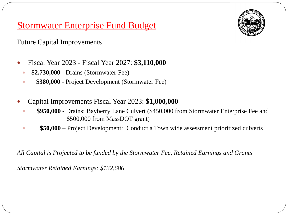### Stormwater Enterprise Fund Budget

Future Capital Improvements

- Fiscal Year 2023 Fiscal Year 2027: **\$3,110,000** 
	- **\$2,730,000**  Drains (Stormwater Fee)
	- **\$380,000**  Project Development (Stormwater Fee)
- Capital Improvements Fiscal Year 2023: **\$1,000,000** 
	- **\$950,000**  Drains: Bayberry Lane Culvert (\$450,000 from Stormwater Enterprise Fee and \$500,000 from MassDOT grant)
	- **\$50,000** Project Development: Conduct a Town wide assessment prioritized culverts

*All Capital is Projected to be funded by the Stormwater Fee, Retained Earnings and Grants*

*Stormwater Retained Earnings: \$132,686*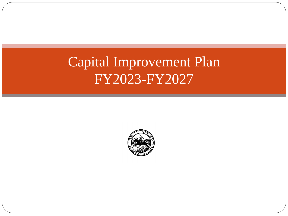# Capital Improvement Plan FY2023-FY2027

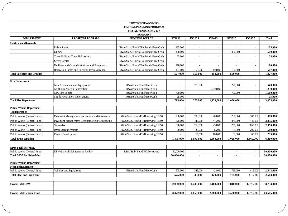|                                     |                                                | <b>TOWN OF TEWKSBURY</b>                                         |            |                |                          |                |                |                |
|-------------------------------------|------------------------------------------------|------------------------------------------------------------------|------------|----------------|--------------------------|----------------|----------------|----------------|
|                                     |                                                | <b>CAPITAL PLANNING PROGRAM</b><br><b>FISCAL YEARS 2023-2027</b> |            |                |                          |                |                |                |
|                                     |                                                | <b>SUMMARY</b>                                                   |            |                |                          |                |                |                |
| <b>DEPARTMENT</b>                   | PROJECT/PROGRAM                                | <b>FUNDING SOURCE</b>                                            | FY2023     | <b>FY2024</b>  | FY2025                   | <b>FY2026</b>  | <b>FY2027</b>  | <b>Total</b>   |
| <b>Facilities and Grounds</b>       |                                                |                                                                  |            |                |                          |                |                |                |
|                                     | Police Station                                 | R&A/Stab. Fund/CPA Funds/Free Cash                               | 135,000    | $\sim$         |                          |                |                | 135,000        |
|                                     | Library                                        | R&A/Stab. Fund/CPA Funds/Free Cash                               | 100,000    | $\sim$         | $\sim$                   | 400,000        | $\omega$       | 500,000        |
|                                     | Town Hall and Town Hall Annex                  | R&A/Stab. Fund/CPA Funds/Free Cash                               | 25,000     | ä,             |                          |                | ÷.             | 25,000         |
|                                     | Senior Center                                  | R&A/Stab. Fund/CPA Funds/Free Cash                               | $\sim$     | $\sim$         | $\overline{\phantom{a}}$ | $\sim$         | $\sim$         | $\blacksquare$ |
|                                     | Facilities and Grounds Vehicles and Equipment  | R&A/Stab. Fund/CPA Funds/Free Cash                               | 110,000    | $\overline{a}$ |                          |                |                | 110.000        |
|                                     | Recreation Fields and Facilities Improvements  | R&A/Stab. Fund/CPA Funds/Free Cash                               | 157,000    | 150,000        | 150,000                  | 150,000        | $\sim$         | 607,000        |
| <b>Total Facilities and Grounds</b> |                                                |                                                                  | 527,000    | 150,000        | 150,000                  | 550,000        | $\blacksquare$ | 1,377,000      |
|                                     |                                                |                                                                  |            |                |                          |                |                |                |
| <b>Fire Department</b>              |                                                |                                                                  |            |                |                          |                |                |                |
|                                     | New Ambulance and Equipment                    | R&A/Stab. Fund/Free Cash                                         | $\sim$     | 270,000        | $\sim$                   | 270,000        | $\sim$         | 540,000        |
|                                     | North Fire Station Renovation                  | R&A/Stab. Fund/Free Cash                                         | $\sim$     | $\sim$         | 1.250,000                | $\overline{a}$ | $\sim$         | 1.250.000      |
|                                     | New Fire Engine                                | R&A/Stab. Fund/Free Cash                                         | 770,000    | $\sim$         | $\omega$                 | 790,000        | $\sim$         | 1,560,000      |
|                                     | South Fire Station Renovations                 | R&A/Stab. Fund/Free Cash                                         | 25,000     | $\sim$         |                          |                | $\sim$         | 25,000         |
| <b>Total Fire Department</b>        |                                                |                                                                  | 795,000    | 270,000        | 1,250,000                | 1.060.000      |                | 3,375,000      |
| <b>Public Works Department</b>      |                                                |                                                                  |            |                |                          |                |                |                |
| <b>Transportation</b>               |                                                |                                                                  |            |                |                          |                |                |                |
| Public Works (General Fund)         | Pavement Management Preventative Maintenance   | R&A/Stab. Fund/FC/Borrowing/CH90                                 | 200,000    | 200,000        | 200,000                  | 200,000        | 200,000        | 1,000,000      |
| Public Works (General Fund)         | Pavement Management Reconstruction/Resurfacing | R&A/Stab. Fund/FC/Borrowing/CH90                                 | 575,000    | 445,000        | 445,000                  | 445,000        | 445,000        | 2,355,000      |
| Public Works (General Fund)         | Sidewalks                                      | R&A/Stab. Fund/FC/Borrowing/CH90                                 | 650,000    | 250,000        | 250,000                  | 250,000        | 650,000        | 2,050,000      |
| Public Works (General Fund)         | <b>Improvement Projects</b>                    | R&A/Stab. Fund/FC/Borrowing/CH90                                 | 50,000     | 130,000        | 65,000                   | 65,000         | 200,000        | 510,000        |
| Public Works (General Fund)         | Project Development                            | R&A/Stab. Fund/FC/Borrowing/CH90                                 |            | 65,000         | 100,000                  | 65,000         | 65,000         | 295,000        |
| <b>Total Transportation</b>         |                                                |                                                                  | 1,475,000  | 1.090.000      | 1.060.000                | 1,025,000      | 1,560,000      | 6,210,000      |
|                                     |                                                |                                                                  |            |                |                          |                |                |                |
| <b>DPW Facilities/Misc.</b>         |                                                |                                                                  |            |                |                          |                |                |                |
| Public Works (General Fund)         | DPW/School Maintenance Facility                | R&A/Stab. Fund/FC/Borrowing                                      | 30,000,000 | $\sim$         | $\sim$                   | $\sim$         | $\sim$         | 30,000,000     |
| <b>Total DPW Facilities/Misc.</b>   |                                                |                                                                  | 30,000,000 | $\epsilon$     | ÷                        | $\sim$         | $\blacksquare$ | 30,000,000     |
| <b>Public Works Department</b>      |                                                |                                                                  |            |                |                          |                |                |                |
| <b>Fleet and Equipment</b>          |                                                |                                                                  |            |                |                          |                |                |                |
| Public Works (General Fund)         | Vehicles and Equipment                         | R&A/Stab. Fund/Free Cash                                         | 575,000    | 345,000        | 423,000                  | 785,000        | 415,000        | 2,543,000      |
| <b>Total Fleet and Equipment</b>    |                                                |                                                                  | 575,000    | 345,000        | 423,000                  | 785,000        | 415,000        | 2,543,000      |
|                                     |                                                |                                                                  |            |                |                          |                |                |                |
| <b>Grand Total DPW</b>              |                                                |                                                                  | 32,050,000 | 1.435,000      | 1.483,000                | 1.810.000      | 1.975.000      | 38,753,000     |
|                                     |                                                |                                                                  |            |                |                          |                |                |                |
| <b>Grand Total General Fund</b>     |                                                |                                                                  | 33.372.000 | 1,855,000      | 2,883,000                | 3.420.000      | 1.975.000      | 43.505.000     |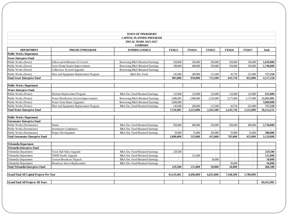|                                                  |                                         | <b>TOWN OF TEWKSBURY</b>                        |            |           |           |                |                |              |
|--------------------------------------------------|-----------------------------------------|-------------------------------------------------|------------|-----------|-----------|----------------|----------------|--------------|
|                                                  |                                         | <b>CAPITAL PLANNING PROGRAM</b>                 |            |           |           |                |                |              |
|                                                  |                                         | <b>FISCAL YEARS 2023-2027</b><br><b>SUMMARY</b> |            |           |           |                |                |              |
| <b>DEPARTMENT</b>                                | PROJECT/PROGRAM                         | <b>FUNDING SOURCE</b>                           | FY2023     | FY2024    | FY2025    | FY2026         | FY2027         | <b>Total</b> |
| <b>Public Works Department</b>                   |                                         |                                                 |            |           |           |                |                |              |
| <b>Sewer Enterprise Fund</b>                     |                                         |                                                 |            |           |           |                |                |              |
| Public Works (Sewer)                             | Inflow and Infiltration I/I Control     | Borrowing/R&A/Retained Earnings                 | 250,000    | 350,000   | 350,000   | 350,000        | 350,000        | 1,650,000    |
| Public Works (Sewer)                             | Sewer Pump Station Improvements         | Borrowing/R&A/Retained Earnings                 | 590,000    | 400,000   | 250,000   | 250,000        | 250,000        | 1,740,000    |
| Public Works (Sewer)                             | Collections System Upgrades             | Borrowing/R&A/Retained Earnings                 |            |           |           |                | ÷              |              |
| Public Works (Sewer)                             | Fleet and Equipment Replacement Program | R&A/Ent. Fund                                   | 145,000    | 200,000   | 113,500   | 43,750         | 225,000        | 727,250      |
| <b>Total Sewer Enterprise Fund</b>               |                                         |                                                 | 985,000    | 950,000   | 713,500   | 643,750        | 825,000        | 4,117,250    |
| <b>Public Works Department</b>                   |                                         |                                                 |            |           |           |                |                |              |
| <b>Water Enterprise Fund</b>                     |                                         |                                                 |            |           |           |                |                |              |
| Public Works (Water)                             | <b>Hydrant Replacement Program</b>      | R&A Ent. Fund/Retained Earnings                 | 125,000    | 125,000   | 125,000   | 125,000        | 125,000        | 625.000      |
| Public Works (Water)                             | Water Distribution System Improvements  | Borrowing/R&A/Retained Earnings                 | 3.686.981  | 2,900,000 | 2,325,000 | 2,175,000      | 2,175,000      | 13,261,981   |
| Public Works (Water)                             | Water Tank Maint./Upgrades              | Borrowing/R&A/Retained Earnings                 | 3,600,000  |           |           |                | $\blacksquare$ | 3,600,000    |
| Public Works (Water)                             | Fleet and Equipment Replacement Program | R&A Ent. Fund/Retained Earnings                 | 145,000    | 200,000   | 113,500   | 43,750         | 225,000        | 727,250      |
| <b>Total Water Enterprise Fund</b>               |                                         |                                                 | 7.556.981  | 3,225,000 | 2.563.500 | 2,343,750      | 2,525,000      | 18,214,231   |
| <b>Public Works Department</b>                   |                                         |                                                 |            |           |           |                |                |              |
| <b>Stormwater Enterprise Fund</b>                |                                         |                                                 |            |           |           |                |                |              |
| Public Works (Stormwater)                        | Drains                                  | R&A Ent. Fund/Retained Earnings                 | 950,000    | 480,000   | 250,000   | 650,000        | 400,000        | 2,730,000    |
| Public Works (Stormwater)                        | <b>Stormwater Compliance</b>            | R&A Ent. Fund/Retained Earnings                 |            | ä,        |           |                | $\sim$         |              |
| Public Works (Stormwater)                        | Project Development                     | R&A Ent. Fund/Retained Earnings                 | 50,000     | 55,000    | 165,000   | 55,000         | 55,000         | 380,000      |
| <b>Total Stormwater Enterprise Fund</b>          |                                         |                                                 | 1.000.000  | 535,000   | 415,000   | 705.000        | 455,000        | 3.110.000    |
| <b>Telemedia Department</b>                      |                                         |                                                 |            |           |           |                |                |              |
| <b>Telemedia Enterprise Fund</b>                 |                                         |                                                 |            |           |           |                |                |              |
| Telemedia Department                             | Town Hall Video Upgrade                 | R&A Ent. Fund/Retained Earnings                 | 229,500    | $\sim$    | $\sim$    | $\sim$         | $\sim$         | 229,500      |
| Telemedia Department                             | <b>TMHS</b> Studio Upgrade              | R&A Ent. Fund/Retained Earnings                 |            | 131,000   |           |                | ÷              | 131,000      |
| Telemedia Department                             | <b>Custom Broadcast Flypack</b>         | R&A Ent. Fund/Retained Earnings                 | $\sim$     | ä,        | 50,000    | $\blacksquare$ | $\omega$       | 50,000       |
| Telemedia Department                             | <b>Broadcast Server Replacement</b>     | R&A Ent. Fund/Retained Earnings                 | $\sim$     | $\sim$    |           | 56,000         | $\sim$         | 56,000       |
| <b>Total Telemedia Enterprise Fund</b>           |                                         |                                                 | 229,500    | 131,000   | 50.000    | 56,000         |                | 466,500      |
| <b>Grand Total All Capital Projects Per Year</b> |                                         |                                                 | 43,143,481 | 6.696.000 | 6.625,000 | 7,168,500      | 5,780,000      |              |
|                                                  |                                         |                                                 |            |           |           |                |                |              |
| <b>Grand Total All Projects All Years</b>        |                                         |                                                 |            |           |           |                |                | 69,412,981   |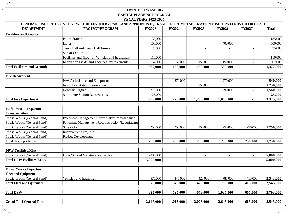#### **TOWN OF TEWKSBURY CAPITAL PLANNING PROGRAM**

#### **FISCAL VEADS 2022-2027**

|                                     | GENERAL FUND PROJECTS THAT WILL BE FUNDED BY RAISE AND APPROPRIATE, TRANSFER FROM STABILIZATION FUND, CPA FUNDS OR FREE CASH | <b>FISCAL YEARS 2023-2027</b> |                |                          |                          |                          |              |
|-------------------------------------|------------------------------------------------------------------------------------------------------------------------------|-------------------------------|----------------|--------------------------|--------------------------|--------------------------|--------------|
| <b>DEPARTMENT</b>                   | PROJECT/PROGRAM                                                                                                              | FY2023                        | FY2024         | FY2025                   | FY2026                   | <b>FY2027</b>            | <b>Total</b> |
| <b>Facilities and Grounds</b>       |                                                                                                                              |                               |                |                          |                          |                          |              |
|                                     | <b>Police Station</b>                                                                                                        | 135,000                       | $\sim$         | $\overline{\phantom{a}}$ | $\sim$                   | $\overline{\phantom{a}}$ | 135,000      |
|                                     | Library                                                                                                                      | 100,000                       |                |                          | 400,000                  |                          | 500,000      |
|                                     | Town Hall and Town Hall Annex                                                                                                | 25,000                        |                | $\overline{\phantom{a}}$ |                          | $\sim$                   | 25,000       |
|                                     | Senior Center                                                                                                                |                               | $\sim$         |                          | $\overline{\phantom{a}}$ |                          |              |
|                                     | Facilities and Grounds Vehicles and Equipment                                                                                | 110,000                       | $\sim$         | $\sim$                   | $\overline{a}$           | $\overline{\phantom{a}}$ | 110,000      |
|                                     | Recreation Fields and Facilities Improvements                                                                                | 157,000                       | 150,000        | 150,000                  | 150,000                  | $\overline{\phantom{a}}$ | 607,000      |
| <b>Total Facilities and Grounds</b> |                                                                                                                              | 527,000                       | 150,000        | 150,000                  | 550,000                  |                          | 1,377,000    |
| <b>Fire Department</b>              |                                                                                                                              |                               |                |                          |                          |                          |              |
|                                     | New Ambulance and Equipment                                                                                                  |                               | 270,000        |                          | 270,000                  |                          | 540,000      |
|                                     | North Fire Station Renovation                                                                                                |                               |                | 1,250,000                |                          |                          | 1,250,000    |
|                                     | New Fire Engine                                                                                                              | 770,000                       |                |                          | 790,000                  | $\sim$                   | 1,560,000    |
|                                     | South Fire Station Renovations                                                                                               | 25,000                        |                |                          |                          |                          | 25,000       |
| <b>Total Fire Department</b>        |                                                                                                                              | 795,000                       | 270,000        | 1,250,000                | 1,060,000                | $\blacksquare$           | 3,375,000    |
| <b>Public Works Department</b>      |                                                                                                                              |                               |                |                          |                          |                          |              |
| Transportation                      |                                                                                                                              |                               |                |                          |                          |                          |              |
| Public Works (General Fund)         | Pavement Management Preventative Maintenance                                                                                 |                               |                |                          |                          |                          |              |
| Public Works (General Fund)         | Pavement Management Reconstruction/Resurfacing                                                                               | $\overline{\phantom{a}}$      | $\overline{a}$ | $\blacksquare$           | $\bar{a}$                | $\sim$                   | $\sim$       |
| Public Works (General Fund)         | Sidewalks                                                                                                                    | 250,000                       | 250,000        | 250,000                  | 250,000                  | 250,000                  | 1,250,000    |
| Public Works (General Fund)         | <b>Improvement Projects</b>                                                                                                  | $\overline{a}$                | $\bar{a}$      |                          | $\overline{\phantom{a}}$ | $\overline{\phantom{a}}$ |              |
| Public Works (General Fund)         | Project Development                                                                                                          | $\overline{a}$                |                |                          |                          |                          |              |
| <b>Total Transportation</b>         |                                                                                                                              | 250,000                       | 250,000        | 250,000                  | 250,000                  | 250,000                  | 1,250,000    |
| <b>DPW Facilities/Misc.</b>         |                                                                                                                              |                               |                |                          |                          |                          |              |
| Public Works (General Fund)         | DPW/School Maintenance Facility                                                                                              | 5,000,000                     |                |                          |                          |                          | 5,000,000    |
| <b>Total DPW Facilities/Misc.</b>   |                                                                                                                              | 5,000,000                     | $\sim$         | $\overline{\phantom{a}}$ | $\sim$                   |                          | 5,000,000    |
| <b>Public Works Department</b>      |                                                                                                                              |                               |                |                          |                          |                          |              |
| <b>Fleet and Equipment</b>          |                                                                                                                              |                               |                |                          |                          |                          |              |
| Public Works (General Fund)         | Vehicles and Equipment                                                                                                       | 575,000                       | 345,000        | 423,000                  | 785,000                  | 415,000                  | 2,543,000    |
| <b>Total Fleet and Equipment</b>    |                                                                                                                              | 575,000                       | 345,000        | 423,000                  | 785,000                  | 415,000                  | 2,543,000    |
| <b>Total DPW</b>                    |                                                                                                                              | 825,000                       | 595,000        | 673,000                  | 1,035,000                | 665,000                  | 3,793,000    |
|                                     |                                                                                                                              |                               |                |                          |                          |                          |              |
| <b>Grand Total General Fund</b>     |                                                                                                                              | 2,147,000                     | 1,015,000      | 2,073,000                | 2,645,000                | 665,000                  | 8,545,000    |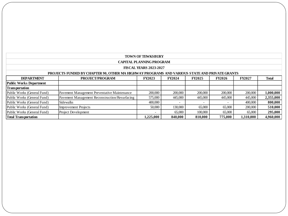| <b>TOWN OF TEWKSBURY</b>       |                                                                                               |                                 |                          |               |               |               |              |
|--------------------------------|-----------------------------------------------------------------------------------------------|---------------------------------|--------------------------|---------------|---------------|---------------|--------------|
|                                |                                                                                               | <b>CAPITAL PLANNING PROGRAM</b> |                          |               |               |               |              |
|                                |                                                                                               | <b>FISCAL YEARS 2023-2027</b>   |                          |               |               |               |              |
|                                | PROJECTS FUNDED BY CHAPTER 90, OTHER MA HIGHWAY PROGRAMS AND VARIOUS STATE AND PRIVATE GRANTS |                                 |                          |               |               |               |              |
| <b>DEPARTMENT</b>              | PROJECT/PROGRAM                                                                               | <b>FY2023</b>                   | <b>FY2024</b>            | <b>FY2025</b> | <b>FY2026</b> | <b>FY2027</b> | <b>Total</b> |
| <b>Public Works Department</b> |                                                                                               |                                 |                          |               |               |               |              |
| <b>Transportation</b>          |                                                                                               |                                 |                          |               |               |               |              |
| Public Works (General Fund)    | Pavement Management Preventative Maintenance                                                  | 200,000                         | 200,000                  | 200,000       | 200,000       | 200,000       | 1,000,000    |
| Public Works (General Fund)    | Pavement Management Reconstruction/Resurfacing                                                | 575,000                         | 445,000                  | 445,000       | 445,000       | 445,000       | 2,355,000    |
| Public Works (General Fund)    | <b>Sidewalks</b>                                                                              | 400,000                         | $\overline{\phantom{0}}$ |               |               | 400,000       | 800,000      |
| Public Works (General Fund)    | <b>Improvement Projects</b>                                                                   | 50,000                          | 130,000                  | 65,000        | 65,000        | 200,000       | 510,000      |
| Public Works (General Fund)    | Project Development                                                                           |                                 | 65,000                   | 100,000       | 65,000        | 65,000        | 295,000      |
| <b>Total Transportation</b>    |                                                                                               | 1.225,000                       | 840,000                  | 810.000       | 775.000       | 1.310.000     | 4.960.000    |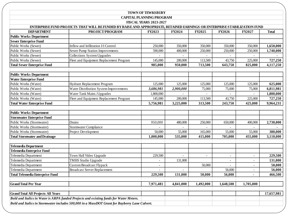#### **TOWN OF TEWKSBURY CAPITAL PLANNING PROGRAM**

|                                           |                                                                                                                                                     | <b>FIS CAL YEARS 2023-2027</b> |                |                          |                          |                          |              |
|-------------------------------------------|-----------------------------------------------------------------------------------------------------------------------------------------------------|--------------------------------|----------------|--------------------------|--------------------------|--------------------------|--------------|
| <b>DEPARTMENT</b>                         | ENTERPRISE FUND PROJECTS THAT WILL BE FUNDED BY RAISE AND APPROPRIATE, RETAINED EARNINGS OR ENTERPRISE STABILIZATION FUND<br><b>PROJECT/PROGRAM</b> | FY2023                         | <b>FY2024</b>  |                          |                          | <b>FY2027</b>            | <b>Total</b> |
| <b>Public Works Department</b>            |                                                                                                                                                     |                                |                | FY2025                   | <b>FY2026</b>            |                          |              |
| <b>Sewer Enterprise Fund</b>              |                                                                                                                                                     |                                |                |                          |                          |                          |              |
| Public Works (Sewer)                      | Inflow and Infiltration I/I Control                                                                                                                 | 250,000                        | 350,000        | 350,000                  | 350,000                  | 350,000                  | 1,650,000    |
| Public Works (Sewer)                      | Sewer Pump Station Improvements                                                                                                                     | 590,000                        | 400,000        | 250,000                  | 250,000                  | 250,000                  | 1,740,000    |
| Public Works (Sewer)                      | Collections System Upgrades                                                                                                                         |                                |                |                          |                          |                          |              |
| Public Works (Sewer)                      | Fleet and Equipment Replacement Program                                                                                                             | 145,000                        | 200,000        | 113,500                  | 43,750                   | 225,000                  | 727,250      |
| <b>Total Sewer Enterprise Fund</b>        |                                                                                                                                                     | 985,000                        | 950,000        | 713,500                  | 643,750                  | 825,000                  | 4,117,250    |
|                                           |                                                                                                                                                     |                                |                |                          |                          |                          |              |
| <b>Public Works Department</b>            |                                                                                                                                                     |                                |                |                          |                          |                          |              |
| <b>Water Enterprise Fund</b>              |                                                                                                                                                     |                                |                |                          |                          |                          |              |
| Public Works (Water)                      | Hydrant Replacement Program                                                                                                                         | 125,000                        | 125,000        | 125,000                  | 125,000                  | 125,000                  | 625,000      |
| Public Works (Water)                      | Water Distribution System Improvements                                                                                                              | 3,686,981                      | 2,900,000      | 75,000                   | 75,000                   | 75,000                   | 6,811,981    |
| Public Works (Water)                      | Water Tank Maint./Upgrades                                                                                                                          | 1,800,000                      |                |                          |                          |                          | 1,800,000    |
| Public Works (Water)                      | Fleet and Equipment Replacement Program                                                                                                             | 145,000                        | 200,000        | 113,500                  | 43,750                   | 225,000                  | 727,250      |
| <b>Total Water Enterprise Fund</b>        |                                                                                                                                                     | 5,756,981                      | 3,225,000      | 313,500                  | 243,750                  | 425,000                  | 9,964,231    |
|                                           |                                                                                                                                                     |                                |                |                          |                          |                          |              |
| <b>Public Works Department</b>            |                                                                                                                                                     |                                |                |                          |                          |                          |              |
| <b>Stormwater Enterprise Fund</b>         |                                                                                                                                                     |                                |                |                          |                          |                          |              |
| Public Works (Stormwater)                 | Drains                                                                                                                                              | 950,000                        | 480,000        | 250,000                  | 650,000                  | 400,000                  | 2,730,000    |
| Public Works (Stormwater)                 | Stormwater Compliance                                                                                                                               |                                |                |                          |                          |                          |              |
| Public Works (Stormwater)                 | Project Development                                                                                                                                 | 50,000                         | 55,000         | 165,000                  | 55,000                   | 55,000                   | 380,000      |
| <b>Total Stormwater and Drainage</b>      |                                                                                                                                                     | 1,000,000                      | 535,000        | 415,000                  | 705,000                  | 455,000                  | 3,110,000    |
|                                           |                                                                                                                                                     |                                |                |                          |                          |                          |              |
| <b>Telemedia Department</b>               |                                                                                                                                                     |                                |                |                          |                          |                          |              |
| <b>Telemedia Enterprise Fund</b>          |                                                                                                                                                     |                                |                |                          |                          |                          |              |
| Telemedia Department                      | Town Hall Video Upgrade                                                                                                                             | 229,500                        | $\overline{a}$ | $\overline{\phantom{a}}$ | $\overline{\phantom{a}}$ | $\overline{\phantom{a}}$ | 229,500      |
| Telemedia Department                      | <b>TMHS Studio Upgrade</b>                                                                                                                          |                                | 131,000        |                          | $\overline{a}$           | $\overline{\phantom{a}}$ | 131,000      |
| Telemedia Department                      | Custom Broadcast Flypack                                                                                                                            | $\overline{a}$                 |                | 50,000                   |                          | $\overline{\phantom{a}}$ | 50,000       |
| Telemedia Department                      | <b>Broadcast Server Replacement</b>                                                                                                                 |                                |                |                          | 56,000                   | $\sim$                   | 56,000       |
| <b>Total Telemedia Enterprise Fund</b>    |                                                                                                                                                     | 229,500                        | 131,000        | 50,000                   | 56,000                   | $\blacksquare$           | 466,500      |
| <b>Grand Total Per Year</b>               |                                                                                                                                                     | 7,971,481                      | 4,841,000      | 1,492,000                | 1,648,500                | 1,705,000                |              |
|                                           |                                                                                                                                                     |                                |                |                          |                          |                          |              |
| <b>Grand Total All Projects All Years</b> |                                                                                                                                                     |                                |                |                          |                          |                          | 17,657,981   |
|                                           | Bold and Italics in Water is ARPA funded Projects and existing funds for Water Meters.                                                              |                                |                |                          |                          |                          |              |
|                                           | Bold and Italics in Stormwater includes 500,000 in a MassDOT Grant for Bayberry Lane Culvert.                                                       |                                |                |                          |                          |                          |              |
|                                           |                                                                                                                                                     |                                |                |                          |                          |                          |              |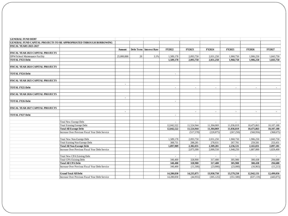| <b>GENERAL FUND DEBT</b>                 |                                                                           |                |    |                         |                |                |            |                |                |            |
|------------------------------------------|---------------------------------------------------------------------------|----------------|----|-------------------------|----------------|----------------|------------|----------------|----------------|------------|
|                                          | <b>GENERAL FUND CAPITAL PROJECTS TO BE APPROPRIATED THROUGH BORROWING</b> |                |    |                         |                |                |            |                |                |            |
| <b>FISCAL YEARS 2023-2027</b>            |                                                                           |                |    |                         |                |                |            |                |                |            |
|                                          |                                                                           | Amount         |    | Debt Term Interest Rate | FY2022         | FY2023         | FY2024     | FY2025         | <b>FY2026</b>  | FY2027     |
| FISCAL YEAR 2023 CAPITAL PROJECTS        |                                                                           |                |    |                         |                |                |            |                |                |            |
| DPW/School Maintenance Facility          |                                                                           | 25,000,000     | 20 | 3.1%                    | 1,589,178      | 2.093.750      | 2.031.250  | 1,968,750      | 1,906,250      | 1,843,750  |
| <b>TOTAL FY23 Debt</b>                   |                                                                           |                |    |                         | 1,589,178      | 2,093,750      | 2,031,250  | 1,968,750      | 1,906,250      | 1,843,750  |
| FISCAL YEAR 2024 CAPITAL PROJECTS        |                                                                           |                |    |                         |                |                |            |                |                |            |
| <b>TOTAL FY24 Debt</b>                   |                                                                           |                |    |                         | $\sim$         |                |            |                |                |            |
| FISCAL YEAR 2025 CAPITAL PROJECTS        |                                                                           |                |    |                         |                |                |            |                |                |            |
| <b>TOTAL FY25 Debt</b>                   |                                                                           | $\blacksquare$ |    |                         | $\blacksquare$ | $\sim$         | $\sim$     | $\sim$         | $\sim$         | $\sim$     |
| <b>FISCAL YEAR 2026 CAPITAL PROJECTS</b> |                                                                           |                |    |                         |                |                |            |                |                |            |
| <b>TOTAL FY26 Debt</b>                   |                                                                           | $\sim$         |    |                         | $\sim$         |                |            |                |                |            |
| <b>FISCAL YEAR 2027 CAPITAL PROJECTS</b> |                                                                           |                |    |                         |                |                |            |                |                |            |
|                                          |                                                                           | $\blacksquare$ |    |                         |                | $\blacksquare$ |            | $\blacksquare$ | $\blacksquare$ | $\sim$     |
| <b>TOTAL FY27 Debt</b>                   |                                                                           |                |    |                         | $\sim$         |                |            |                |                |            |
|                                          | <b>Total New Exempt Debt</b>                                              |                |    |                         | $\sim$         | $\sim$         | $\sim$     | $\sim$         | ÷              |            |
|                                          | <b>Total Existing Exempt Debt</b>                                         |                |    |                         | 12,042,522     | 11,524,944     | 11,304,069 | 11,036,819     | 10,475,863     | 10,107,188 |
|                                          | <b>Total All Exempt Debt</b>                                              |                |    |                         | 12,042,522     | 11,524,944     | 11,304,069 | 11,036,819     | 10,475,863     | 10,107,188 |
|                                          | Increase Over Previous Fiscal Year Debt Service                           |                |    |                         |                | (517,578)      | (220, 875) | (267, 250)     | (560, 956)     | (368, 675) |
|                                          | <b>Total New Non-Exempt Debt</b>                                          |                |    |                         | 1,589,178      | 2,093,750      | 2,031,250  | 1,968,750      | 1,906,250      | 1,843,750  |
|                                          | <b>Total Existing Non Exempt Debt</b>                                     |                |    |                         | 308,731        | 288,281        | 278,031    | 267,781        | 259,581        | 253,431    |
|                                          | <b>Total All Non-Exempt Debt</b>                                          |                |    |                         | 1.897.909      | 2,382,031      | 2.309.281  | 2.236.531      | 2,165,831      | 2,097,181  |
|                                          | Increase Over Previous Fiscal Year Debt Service                           |                |    |                         |                | 2,073,300      | 2,000,550  | 1,948,250      | 1,887,800      | 1,829,400  |
|                                          | <b>Total New CPA Existing Debt</b>                                        |                |    |                         |                |                |            | $\sim$         |                |            |
|                                          | <b>Total CPA Existing Debt</b>                                            |                |    |                         | 340,400        | 328,900        | 317,400    | 305,900        | 300,438        | 294,688    |
|                                          | <b>Total All CPA Debt</b>                                                 |                |    |                         | 340,400        | 328,900        | 317,400    | 305,900        | 300,438        | 294,688    |
|                                          | Increase Over Previous Fiscal Year Debt Service                           |                |    |                         | 340,400        | (11,500)       | (23,000)   | (23,000)       | (16,963)       | (11,213)   |
|                                          |                                                                           |                |    |                         |                |                |            |                |                |            |
|                                          | <b>Grand Total All Debt</b>                                               |                |    |                         | 14,280,830     | 14,235,875     | 13,930,750 | 13,579,250     | 12,942,131     | 12,499,056 |
|                                          | Increase Over Previous Fiscal Year Debt Service                           |                |    |                         | 14,280,830     | (44,955)       | (305, 125) | (351,500)      | (637, 119)     | (443,075)  |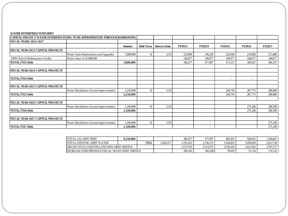| CAPITAL PROJECT WATER ENTERPISE FUNDS TO BE APPROPRIATED THROUGH BORROWING |                                        |           |                  |                      |                          |                          |                          |                          |         |
|----------------------------------------------------------------------------|----------------------------------------|-----------|------------------|----------------------|--------------------------|--------------------------|--------------------------|--------------------------|---------|
| <b>FISCAL YEARS 2023-2027</b>                                              |                                        |           |                  |                      |                          |                          |                          |                          |         |
|                                                                            |                                        | Amount    | <b>Debt Term</b> | <b>Interest Rate</b> | <b>FY2023</b>            | FY2024                   | <b>FY2025</b>            | <b>FY2026</b>            | FY2027  |
| <b>FISCAL YEAR 2023 CAPITAL PROJECTS</b>                                   |                                        |           |                  |                      |                          |                          |                          |                          |         |
|                                                                            | Water Tank Maintenance and Upgrades    | 1,800,000 | 10               | 3.1%                 | 235,800                  | 230,220                  | 224,640                  | 219,060                  | 213,480 |
| DPW/School Maintenance Facility                                            | Water share of 25,000,000              |           |                  |                      | 146,877                  | 146,877                  | 146,877                  | 146,877                  | 146,877 |
| <b>TOTAL FY23 Debt</b>                                                     |                                        | 1,800,000 |                  |                      | 382,677                  | 377,097                  | 371,517                  | 365,937                  | 360,357 |
| <b>FISCAL YEAR 2024 CAPITAL PROJECTS</b>                                   |                                        |           |                  |                      |                          |                          |                          |                          |         |
| <b>TOTAL FY24 Debt</b>                                                     |                                        |           |                  |                      |                          | $\overline{\phantom{0}}$ | $\overline{\phantom{a}}$ | $\overline{\phantom{a}}$ |         |
| <b>FISCAL YEAR 2025 CAPITAL PROJECTS</b>                                   |                                        |           |                  |                      |                          |                          |                          |                          |         |
|                                                                            | Water Distribution System Improvements | 2,250,000 | 10               | 3.1%                 |                          |                          | 294,750                  | 287,775                  | 280,800 |
| <b>TOTAL FY25 Debt</b>                                                     |                                        | 2,250,000 |                  |                      |                          |                          | 294,750                  | 287,775                  | 280,800 |
| <b>FISCAL YEAR 2026 CAPITAL PROJECTS</b>                                   |                                        |           |                  |                      |                          |                          |                          |                          |         |
|                                                                            | Water Distribution System Improvements | 2,100,000 | 10               | 3.1%                 |                          |                          |                          | 275,100                  | 268,590 |
| <b>TOTAL FY26 Debt</b>                                                     |                                        | 2,100,000 |                  |                      |                          |                          |                          | 275,100                  | 268,590 |
| <b>FISCAL YEAR 2027 CAPITAL PROJECTS</b>                                   |                                        |           |                  |                      |                          |                          |                          |                          |         |
|                                                                            | Water Distribution System Improvements | 2,100,000 | 10               | 3.1%                 |                          | $\overline{\phantom{a}}$ |                          |                          | 275,100 |
| <b>TOTAL FY27 Debt</b>                                                     |                                        | 2,100,000 |                  |                      | $\overline{\phantom{a}}$ | $\overline{\phantom{a}}$ |                          |                          | 275,100 |

| <b>TOTAL ALL NEW DEBT</b>                                | 8.250.000 |      |           | 382,677   | 377,097   | 666,267   | 928.812   | .184.847  |
|----------------------------------------------------------|-----------|------|-----------|-----------|-----------|-----------|-----------|-----------|
| <b>TOTAL EXISTING DEBT WATER</b>                         |           | FY22 | 2.364.357 | 2.191.025 | 2.136.275 | 1.926.025 | 1.694.630 | 1.612.730 |
| <b>IGRAND TOTAL EXISTING AND NEW DEBT SERVICE</b>        |           |      |           | 2.573.702 | 2.513.372 | 2.592.292 | 2.623.442 | 2,797,577 |
| <b>INCREASE OVER PREVIOUS FISCAL YEAR'S DEBT SERVICE</b> |           |      |           | 209,345   | (60, 330) | 78.920    | 31.150    | 174,135   |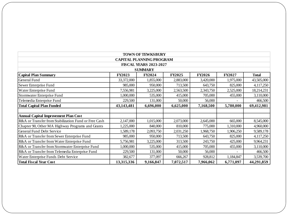| <b>TOWN OF TEWKSBURY</b>                                                                                      |               |               |               |               |               |              |  |
|---------------------------------------------------------------------------------------------------------------|---------------|---------------|---------------|---------------|---------------|--------------|--|
| <b>CAPITAL PLANNING PROGRAM</b>                                                                               |               |               |               |               |               |              |  |
| <b>FISCAL YEARS 2023-2027</b>                                                                                 |               |               |               |               |               |              |  |
| <b>SUMMARY</b>                                                                                                |               |               |               |               |               |              |  |
| <b>Capital Plan Summary</b>                                                                                   | <b>FY2023</b> | <b>FY2024</b> | <b>FY2025</b> | <b>FY2026</b> | <b>FY2027</b> | <b>Total</b> |  |
| General Fund                                                                                                  | 33,372,000    | 1,855,000     | 2,883,000     | 3,420,000     | 1,975,000     | 43,505,000   |  |
| Sewer Enterprise Fund                                                                                         | 985,000       | 950,000       | 713,500       | 643,750       | 825,000       | 4,117,250    |  |
| Water Enterprise Fund                                                                                         | 7,556,981     | 3,225,000     | 2,563,500     | 2,343,750     | 2,525,000     | 18,214,231   |  |
| Stormwater Enterprise Fund                                                                                    | 1,000,000     | 535,000       | 415,000       | 705,000       | 455,000       | 3,110,000    |  |
| Telemedia Enterprise Fund                                                                                     | 229,500       | 131,000       | 50,000        | 56,000        |               | 466,500      |  |
| <b>Total Capital Plan Funded</b>                                                                              | 43,143,481    | 6,696,000     | 6,625,000     | 7,168,500     | 5,780,000     | 69,412,981   |  |
|                                                                                                               |               |               |               |               |               |              |  |
| <b>Annual Capital Improvement Plan Cost</b>                                                                   |               |               |               |               |               |              |  |
| R&A or Transfer from Stabilization Fund or Free Cash                                                          | 2,147,000     | 1,015,000     | 2,073,000     | 2,645,000     | 665,000       | 8,545,000    |  |
| Chapter 90, Other MA Highway Programs and Grants                                                              | 1,225,000     | 840,000       | 810,000       | 775,000       | 1,310,000     | 4,960,000    |  |
| General Fund Debt Service                                                                                     | 1,589,178     | 2,093,750     | 2,031,250     | 1,968,750     | 1,906,250     | 9,589,178    |  |
| R&A or Transfer from Sewer Enterprise Fund                                                                    | 985,000       | 950,000       | 713,500       | 643,750       | 825,000       | 4,117,250    |  |
| R&A or Transfer from Water Enterprise Fund                                                                    | 5,756,981     | 3,225,000     | 313,500       | 243,750       | 425,000       | 9,964,231    |  |
| R&A or Transfer from Stormwater Enterprise Fund                                                               | 1,000,000     | 535,000       | 415,000       | 705,000       | 455,000       | 3,110,000    |  |
| R&A or Transfer from Telemedia Enterprise Fund                                                                | 229,500       | 131,000       | 50,000        | 56,000        |               | 466,500      |  |
| Water Enterprise Funds Debt Service                                                                           | 382,677       | 377,097       | 666,267       | 928,812       | 1,184,847     | 3,539,700    |  |
| 13,315,336<br>9,166,847<br>6,771,097<br>44,291,859<br><b>Total Fiscal Year Cost</b><br>7,072,517<br>7,966,062 |               |               |               |               |               |              |  |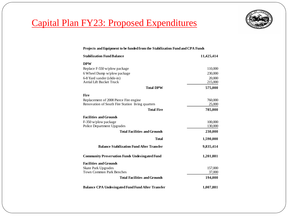

## Capital Plan FY23: Proposed Expenditures

#### **Projects and Equipment to be funded from the Stabilization Fund and CPA Funds**

| <b>Stabilization Fund Balance</b>                        | 11,425,414 |
|----------------------------------------------------------|------------|
| <b>DPW</b>                                               |            |
| Replace F-550 w/plow package                             | 110,000    |
| 6 Wheel Dump w/plow package                              | 230,000    |
| 6-8 Yard sander (slide-in)                               | 20,000     |
| <b>Aerial Lift Bucket Truck</b>                          | 215,000    |
| <b>Total DPW</b>                                         | 575,000    |
| <b>Fire</b>                                              |            |
| Replacement of 2008 Pierce Fire engine                   | 760,000    |
| Renovation of South Fire Station living quarters         | 25,000     |
| <b>Total Fire</b>                                        | 785,000    |
| <b>Facilities and Grounds</b>                            |            |
| F-350 w/plow package                                     | 100,000    |
| Police Department Upgrades                               | 130,000    |
| <b>Total Facilities and Grounds</b>                      | 230,000    |
| <b>Total</b>                                             | 1,590,000  |
| <b>Balance Stabilization Fund After Transfer</b>         | 9,835,414  |
| <b>Community Preservation Funds Undesingated Fund</b>    | 1,201,881  |
| <b>Facilities and Grounds</b>                            |            |
| <b>Skate Park Upgrades</b>                               | 157,000    |
| <b>Town Common Park Benches</b>                          | 37,000     |
| <b>Total Facilities and Grounds</b>                      | 194,000    |
| <b>Balance CPA Undesingated Fund Fund After Transfer</b> | 1,007,881  |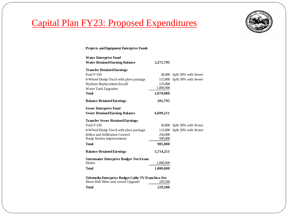

## Capital Plan FY23: Proposed Expenditures

#### **Projects and Equipment Enterprise Funds**

| <b>Water Enterprise Fund</b>                       |           |                             |
|----------------------------------------------------|-----------|-----------------------------|
| <b>Water Retained Earning Balance</b>              | 2,271,795 |                             |
| <b>Transfer Retained Earnings</b>                  |           |                             |
| Ford F-150                                         | 30,000    | Split 50% with Sewer        |
| 6-Wheel Dump Truck with plow package               | 115,000   | Split 50% with Sewer        |
| Hydrant Replacement/Install                        | 125,000   |                             |
| Water Tank Upgrades                                | 1,800,000 |                             |
| <b>Total</b>                                       | 2,070,000 |                             |
| <b>Balance Retained Earnings</b>                   | 201,795   |                             |
| <b>Sewer Enterprise Fund</b>                       |           |                             |
| <b>Sewer Retained Earning Balance</b>              | 6,699,211 |                             |
| <b>Transfer Sewer Retained Earnings</b>            |           |                             |
| Ford F-150                                         |           | 30,000 Split 50% with Water |
| 6-Wheel Dump Truck with plow package               | 115,000   | Split 50% with Water        |
| Inflow and Infiltration Control                    | 250,000   |                             |
| <b>Pump Station Improvements</b>                   | 590,000   |                             |
| <b>Total</b>                                       | 985,000   |                             |
| <b>Balance Retained Earnings</b>                   | 5,714,211 |                             |
| <b>Stormwater Enterprise Budget Fee/Grant</b>      |           |                             |
| Drains                                             | 1,000,000 |                             |
| <b>Total</b>                                       | 1,000,000 |                             |
| Telemedia Enterprise Budget Cable TV Franchise Fee |           |                             |
| Town Hall Video and sound Upgrade                  | 229,500   |                             |
| <b>Total</b>                                       | 229,500   |                             |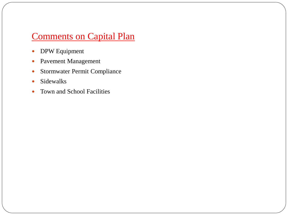### Comments on Capital Plan

- DPW Equipment
- Pavement Management
- Stormwater Permit Compliance
- Sidewalks
- Town and School Facilities